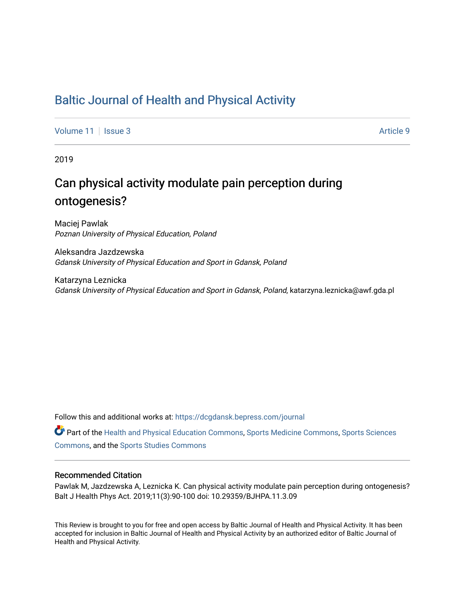## [Baltic Journal of Health and Physical Activity](https://dcgdansk.bepress.com/journal)

[Volume 11](https://dcgdansk.bepress.com/journal/vol11) | [Issue 3](https://dcgdansk.bepress.com/journal/vol11/iss3) Article 9

2019

## Can physical activity modulate pain perception during ontogenesis?

Maciej Pawlak Poznan University of Physical Education, Poland

Aleksandra Jazdzewska Gdansk University of Physical Education and Sport in Gdansk, Poland

Katarzyna Leznicka Gdansk University of Physical Education and Sport in Gdansk, Poland, katarzyna.leznicka@awf.gda.pl

Follow this and additional works at: [https://dcgdansk.bepress.com/journal](https://dcgdansk.bepress.com/journal?utm_source=dcgdansk.bepress.com%2Fjournal%2Fvol11%2Fiss3%2F9&utm_medium=PDF&utm_campaign=PDFCoverPages)

Part of the [Health and Physical Education Commons](http://network.bepress.com/hgg/discipline/1327?utm_source=dcgdansk.bepress.com%2Fjournal%2Fvol11%2Fiss3%2F9&utm_medium=PDF&utm_campaign=PDFCoverPages), [Sports Medicine Commons,](http://network.bepress.com/hgg/discipline/1331?utm_source=dcgdansk.bepress.com%2Fjournal%2Fvol11%2Fiss3%2F9&utm_medium=PDF&utm_campaign=PDFCoverPages) [Sports Sciences](http://network.bepress.com/hgg/discipline/759?utm_source=dcgdansk.bepress.com%2Fjournal%2Fvol11%2Fiss3%2F9&utm_medium=PDF&utm_campaign=PDFCoverPages) [Commons](http://network.bepress.com/hgg/discipline/759?utm_source=dcgdansk.bepress.com%2Fjournal%2Fvol11%2Fiss3%2F9&utm_medium=PDF&utm_campaign=PDFCoverPages), and the [Sports Studies Commons](http://network.bepress.com/hgg/discipline/1198?utm_source=dcgdansk.bepress.com%2Fjournal%2Fvol11%2Fiss3%2F9&utm_medium=PDF&utm_campaign=PDFCoverPages) 

#### Recommended Citation

Pawlak M, Jazdzewska A, Leznicka K. Can physical activity modulate pain perception during ontogenesis? Balt J Health Phys Act. 2019;11(3):90-100 doi: 10.29359/BJHPA.11.3.09

This Review is brought to you for free and open access by Baltic Journal of Health and Physical Activity. It has been accepted for inclusion in Baltic Journal of Health and Physical Activity by an authorized editor of Baltic Journal of Health and Physical Activity.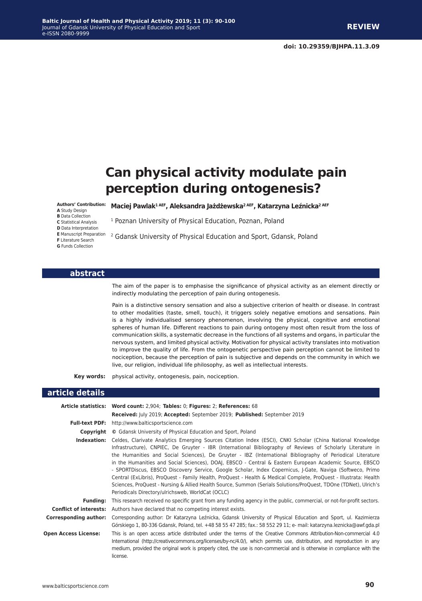# **Can physical activity modulate pain perception during ontogenesis?**

#### **Maciej Pawlak1 AEF, Aleksandra Jażdżewska2 AEF, Katarzyna Leźnicka2 AEF Authors' Contribution:**

- **A** Study Design
- **B** Data Collection
- **C** Statistical Analysis
- **D** Data Interpretation
- 
- 
- **G** Funds Collection

### <sup>1</sup> Poznan University of Physical Education, Poznan, Poland

**E** Manuscript Preparation 22 Gdansk University of Physical Education and Sport, Gdansk, Poland<br>F Literature Search

#### **abstract**

The aim of the paper is to emphasise the significance of physical activity as an element directly or indirectly modulating the perception of pain during ontogenesis.

Pain is a distinctive sensory sensation and also a subjective criterion of health or disease. In contrast to other modalities (taste, smell, touch), it triggers solely negative emotions and sensations. Pain is a highly individualised sensory phenomenon, involving the physical, cognitive and emotional spheres of human life. Different reactions to pain during ontogeny most often result from the loss of communication skills, a systematic decrease in the functions of all systems and organs, in particular the nervous system, and limited physical activity. Motivation for physical activity translates into motivation to improve the quality of life. From the ontogenetic perspective pain perception cannot be limited to nociception, because the perception of pain is subjective and depends on the community in which we live, our religion, individual life philosophy, as well as intellectual interests.

**Key words:** physical activity, ontogenesis, pain, nociception.

#### **article details**

|                             | Article statistics: Word count: 2,904; Tables: 0; Figures: 2; References: 68                                                                                                                                                                                                                                                                                                                                                                                                                                                                                                                                                                                                                                                                                                                                                                                  |
|-----------------------------|---------------------------------------------------------------------------------------------------------------------------------------------------------------------------------------------------------------------------------------------------------------------------------------------------------------------------------------------------------------------------------------------------------------------------------------------------------------------------------------------------------------------------------------------------------------------------------------------------------------------------------------------------------------------------------------------------------------------------------------------------------------------------------------------------------------------------------------------------------------|
|                             | Received: July 2019; Accepted: September 2019; Published: September 2019                                                                                                                                                                                                                                                                                                                                                                                                                                                                                                                                                                                                                                                                                                                                                                                      |
|                             | <b>Full-text PDF:</b> http://www.balticsportscience.com                                                                                                                                                                                                                                                                                                                                                                                                                                                                                                                                                                                                                                                                                                                                                                                                       |
| Copyright                   | © Gdansk University of Physical Education and Sport, Poland                                                                                                                                                                                                                                                                                                                                                                                                                                                                                                                                                                                                                                                                                                                                                                                                   |
| Indexation:                 | Celdes, Clarivate Analytics Emerging Sources Citation Index (ESCI), CNKI Scholar (China National Knowledge<br>Infrastructure), CNPIEC, De Gruyter - IBR (International Bibliography of Reviews of Scholarly Literature in<br>the Humanities and Social Sciences), De Gruyter - IBZ (International Bibliography of Periodical Literature<br>in the Humanities and Social Sciences), DOAJ, EBSCO - Central & Eastern European Academic Source, EBSCO<br>- SPORTDiscus, EBSCO Discovery Service, Google Scholar, Index Copernicus, J-Gate, Naviga (Softweco, Primo<br>Central (ExLibris), ProQuest - Family Health, ProQuest - Health & Medical Complete, ProQuest - Illustrata: Health<br>Sciences, ProQuest - Nursing & Allied Health Source, Summon (Serials Solutions/ProQuest, TDOne (TDNet), Ulrich's<br>Periodicals Directory/ulrichsweb, WorldCat (OCLC) |
| <b>Funding:</b>             | This research received no specific grant from any funding agency in the public, commercial, or not-for-profit sectors.                                                                                                                                                                                                                                                                                                                                                                                                                                                                                                                                                                                                                                                                                                                                        |
|                             | <b>Conflict of interests:</b> Authors have declared that no competing interest exists.                                                                                                                                                                                                                                                                                                                                                                                                                                                                                                                                                                                                                                                                                                                                                                        |
| Corresponding author:       | Corresponding author: Dr Katarzyna Leźnicka, Gdansk University of Physical Education and Sport, ul. Kazimierza<br>Górskiego 1, 80-336 Gdansk, Poland, tel. +48 58 55 47 285; fax.: 58 552 29 11; e- mail: katarzyna.leznicka@awf.gda.pl                                                                                                                                                                                                                                                                                                                                                                                                                                                                                                                                                                                                                       |
| <b>Open Access License:</b> | This is an open access article distributed under the terms of the Creative Commons Attribution-Non-commercial 4.0<br>International (http://creativecommons.org/licenses/by-nc/4.0/), which permits use, distribution, and reproduction in any<br>medium, provided the original work is properly cited, the use is non-commercial and is otherwise in compliance with the<br>license.                                                                                                                                                                                                                                                                                                                                                                                                                                                                          |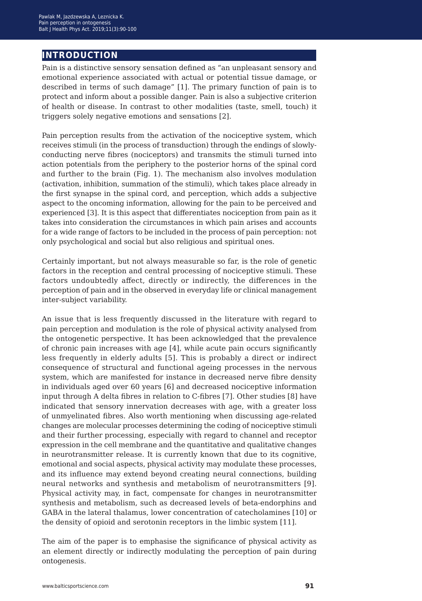## **introduction**

Pain is a distinctive sensory sensation defined as "an unpleasant sensory and emotional experience associated with actual or potential tissue damage, or described in terms of such damage" [1]. The primary function of pain is to protect and inform about a possible danger. Pain is also a subjective criterion of health or disease. In contrast to other modalities (taste, smell, touch) it triggers solely negative emotions and sensations [2].

Pain perception results from the activation of the nociceptive system, which receives stimuli (in the process of transduction) through the endings of slowlyconducting nerve fibres (nociceptors) and transmits the stimuli turned into action potentials from the periphery to the posterior horns of the spinal cord and further to the brain (Fig. 1). The mechanism also involves modulation (activation, inhibition, summation of the stimuli), which takes place already in the first synapse in the spinal cord, and perception, which adds a subjective aspect to the oncoming information, allowing for the pain to be perceived and experienced [3]. It is this aspect that differentiates nociception from pain as it takes into consideration the circumstances in which pain arises and accounts for a wide range of factors to be included in the process of pain perception: not only psychological and social but also religious and spiritual ones.

Certainly important, but not always measurable so far, is the role of genetic factors in the reception and central processing of nociceptive stimuli. These factors undoubtedly affect, directly or indirectly, the differences in the perception of pain and in the observed in everyday life or clinical management inter-subject variability.

An issue that is less frequently discussed in the literature with regard to pain perception and modulation is the role of physical activity analysed from the ontogenetic perspective. It has been acknowledged that the prevalence of chronic pain increases with age [4], while acute pain occurs significantly less frequently in elderly adults [5]. This is probably a direct or indirect consequence of structural and functional ageing processes in the nervous system, which are manifested for instance in decreased nerve fibre density in individuals aged over 60 years [6] and decreased nociceptive information input through A delta fibres in relation to C-fibres [7]. Other studies [8] have indicated that sensory innervation decreases with age, with a greater loss of unmyelinated fibres. Also worth mentioning when discussing age-related changes are molecular processes determining the coding of nociceptive stimuli and their further processing, especially with regard to channel and receptor expression in the cell membrane and the quantitative and qualitative changes in neurotransmitter release. It is currently known that due to its cognitive, emotional and social aspects, physical activity may modulate these processes, and its influence may extend beyond creating neural connections, building neural networks and synthesis and metabolism of neurotransmitters [9]. Physical activity may, in fact, compensate for changes in neurotransmitter synthesis and metabolism, such as decreased levels of beta-endorphins and GABA in the lateral thalamus, lower concentration of catecholamines [10] or the density of opioid and serotonin receptors in the limbic system [11].

The aim of the paper is to emphasise the significance of physical activity as an element directly or indirectly modulating the perception of pain during ontogenesis.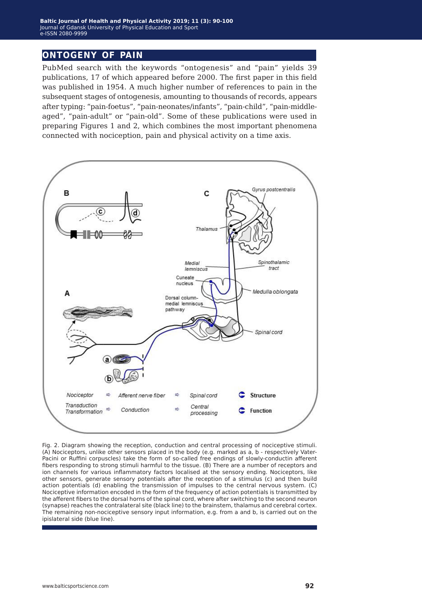## **ontogeny of pain**

PubMed search with the keywords "ontogenesis" and "pain" yields 39 publications, 17 of which appeared before 2000. The first paper in this field was published in 1954. A much higher number of references to pain in the subsequent stages of ontogenesis, amounting to thousands of records, appears after typing: "pain-foetus", "pain-neonates/infants", "pain-child", "pain-middleaged", "pain-adult" or "pain-old". Some of these publications were used in preparing Figures 1 and 2, which combines the most important phenomena connected with nociception, pain and physical activity on a time axis.



Fig. 2. Diagram showing the reception, conduction and central processing of nociceptive stimuli. (A) Nociceptors, unlike other sensors placed in the body (e.g. marked as a, b - respectively Vater-Pacini or Ruffini corpuscles) take the form of so-called free endings of slowly-conductin afferent fibers responding to strong stimuli harmful to the tissue. (B) There are a number of receptors and ion channels for various inflammatory factors localised at the sensory ending. Nociceptors, like other sensors, generate sensory potentials after the reception of a stimulus (c) and then build action potentials (d) enabling the transmission of impulses to the central nervous system. (C) Nociceptive information encoded in the form of the frequency of action potentials is transmitted by the afferent fibers to the dorsal horns of the spinal cord, where after switching to the second neuron (synapse) reaches the contralateral site (black line) to the brainstem, thalamus and cerebral cortex. The remaining non-nociceptive sensory input information, e.g. from a and b, is carried out on the ipislateral side (blue line).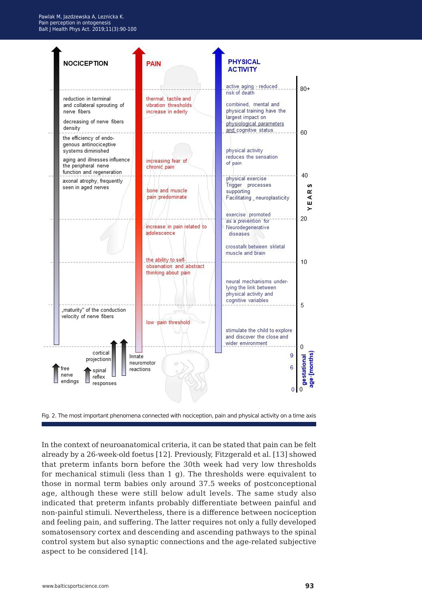

Fig. 2. The most important phenomena connected with nociception, pain and physical activity on a time axis

In the context of neuroanatomical criteria, it can be stated that pain can be felt already by a 26-week-old foetus [12]. Previously, Fitzgerald et al. [13] showed that preterm infants born before the 30th week had very low thresholds for mechanical stimuli (less than 1 g). The thresholds were equivalent to those in normal term babies only around 37.5 weeks of postconceptional age, although these were still below adult levels. The same study also indicated that preterm infants probably differentiate between painful and non-painful stimuli. Nevertheless, there is a difference between nociception and feeling pain, and suffering. The latter requires not only a fully developed somatosensory cortex and descending and ascending pathways to the spinal control system but also synaptic connections and the age-related subjective aspect to be considered [14].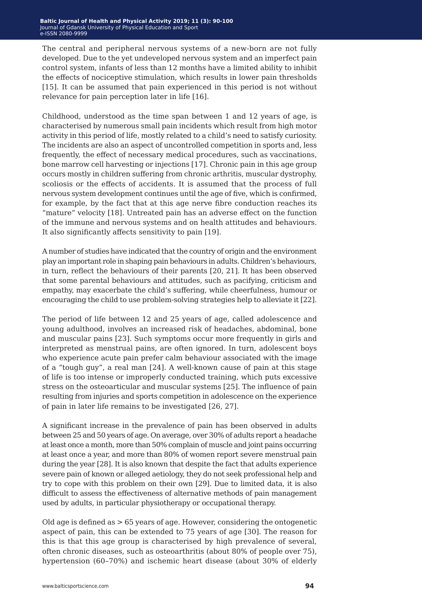The central and peripheral nervous systems of a new-born are not fully developed. Due to the yet undeveloped nervous system and an imperfect pain control system, infants of less than 12 months have a limited ability to inhibit the effects of nociceptive stimulation, which results in lower pain thresholds [15]. It can be assumed that pain experienced in this period is not without relevance for pain perception later in life [16].

Childhood, understood as the time span between 1 and 12 years of age, is characterised by numerous small pain incidents which result from high motor activity in this period of life, mostly related to a child's need to satisfy curiosity. The incidents are also an aspect of uncontrolled competition in sports and, less frequently, the effect of necessary medical procedures, such as vaccinations, bone marrow cell harvesting or injections [17]. Chronic pain in this age group occurs mostly in children suffering from chronic arthritis, muscular dystrophy, scoliosis or the effects of accidents. It is assumed that the process of full nervous system development continues until the age of five, which is confirmed, for example, by the fact that at this age nerve fibre conduction reaches its "mature" velocity [18]. Untreated pain has an adverse effect on the function of the immune and nervous systems and on health attitudes and behaviours. It also significantly affects sensitivity to pain [19].

A number of studies have indicated that the country of origin and the environment play an important role in shaping pain behaviours in adults. Children's behaviours, in turn, reflect the behaviours of their parents [20, 21]. It has been observed that some parental behaviours and attitudes, such as pacifying, criticism and empathy, may exacerbate the child's suffering, while cheerfulness, humour or encouraging the child to use problem-solving strategies help to alleviate it [22].

The period of life between 12 and 25 years of age, called adolescence and young adulthood, involves an increased risk of headaches, abdominal, bone and muscular pains [23]. Such symptoms occur more frequently in girls and interpreted as menstrual pains, are often ignored. In turn, adolescent boys who experience acute pain prefer calm behaviour associated with the image of a "tough guy", a real man [24]. A well-known cause of pain at this stage of life is too intense or improperly conducted training, which puts excessive stress on the osteoarticular and muscular systems [25]. The influence of pain resulting from injuries and sports competition in adolescence on the experience of pain in later life remains to be investigated [26, 27].

A significant increase in the prevalence of pain has been observed in adults between 25 and 50 years of age. On average, over 30% of adults report a headache at least once a month, more than 50% complain of muscle and joint pains occurring at least once a year, and more than 80% of women report severe menstrual pain during the year [28]. It is also known that despite the fact that adults experience severe pain of known or alleged aetiology, they do not seek professional help and try to cope with this problem on their own [29]. Due to limited data, it is also difficult to assess the effectiveness of alternative methods of pain management used by adults, in particular physiotherapy or occupational therapy.

Old age is defined as > 65 years of age. However, considering the ontogenetic aspect of pain, this can be extended to 75 years of age [30]. The reason for this is that this age group is characterised by high prevalence of several, often chronic diseases, such as osteoarthritis (about 80% of people over 75), hypertension (60–70%) and ischemic heart disease (about 30% of elderly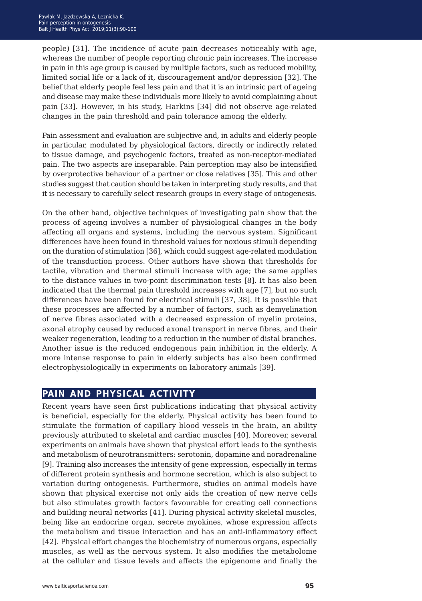people) [31]. The incidence of acute pain decreases noticeably with age, whereas the number of people reporting chronic pain increases. The increase in pain in this age group is caused by multiple factors, such as reduced mobility, limited social life or a lack of it, discouragement and/or depression [32]. The belief that elderly people feel less pain and that it is an intrinsic part of ageing and disease may make these individuals more likely to avoid complaining about pain [33]. However, in his study, Harkins [34] did not observe age-related changes in the pain threshold and pain tolerance among the elderly.

Pain assessment and evaluation are subjective and, in adults and elderly people in particular, modulated by physiological factors, directly or indirectly related to tissue damage, and psychogenic factors, treated as non-receptor-mediated pain. The two aspects are inseparable. Pain perception may also be intensified by overprotective behaviour of a partner or close relatives [35]. This and other studies suggest that caution should be taken in interpreting study results, and that it is necessary to carefully select research groups in every stage of ontogenesis.

On the other hand, objective techniques of investigating pain show that the process of ageing involves a number of physiological changes in the body affecting all organs and systems, including the nervous system. Significant differences have been found in threshold values for noxious stimuli depending on the duration of stimulation [36], which could suggest age-related modulation of the transduction process. Other authors have shown that thresholds for tactile, vibration and thermal stimuli increase with age; the same applies to the distance values in two-point discrimination tests [8]. It has also been indicated that the thermal pain threshold increases with age [7], but no such differences have been found for electrical stimuli [37, 38]. It is possible that these processes are affected by a number of factors, such as demyelination of nerve fibres associated with a decreased expression of myelin proteins, axonal atrophy caused by reduced axonal transport in nerve fibres, and their weaker regeneration, leading to a reduction in the number of distal branches. Another issue is the reduced endogenous pain inhibition in the elderly. A more intense response to pain in elderly subjects has also been confirmed electrophysiologically in experiments on laboratory animals [39].

## **pain and physical activity**

Recent years have seen first publications indicating that physical activity is beneficial, especially for the elderly. Physical activity has been found to stimulate the formation of capillary blood vessels in the brain, an ability previously attributed to skeletal and cardiac muscles [40]. Moreover, several experiments on animals have shown that physical effort leads to the synthesis and metabolism of neurotransmitters: serotonin, dopamine and noradrenaline [9]. Training also increases the intensity of gene expression, especially in terms of different protein synthesis and hormone secretion, which is also subject to variation during ontogenesis. Furthermore, studies on animal models have shown that physical exercise not only aids the creation of new nerve cells but also stimulates growth factors favourable for creating cell connections and building neural networks [41]. During physical activity skeletal muscles, being like an endocrine organ, secrete myokines, whose expression affects the metabolism and tissue interaction and has an anti-inflammatory effect [42]. Physical effort changes the biochemistry of numerous organs, especially muscles, as well as the nervous system. It also modifies the metabolome at the cellular and tissue levels and affects the epigenome and finally the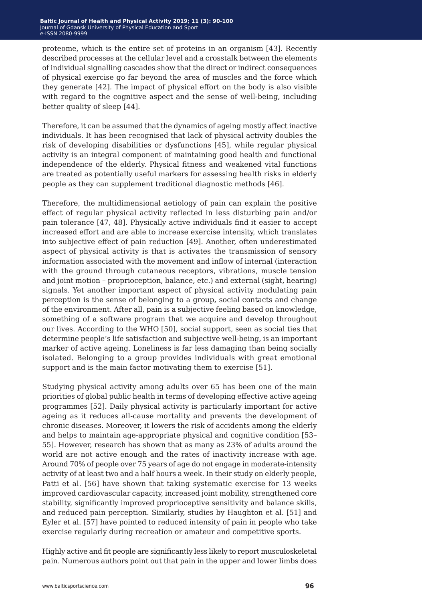proteome, which is the entire set of proteins in an organism [43]. Recently described processes at the cellular level and a crosstalk between the elements of individual signalling cascades show that the direct or indirect consequences of physical exercise go far beyond the area of muscles and the force which they generate [42]. The impact of physical effort on the body is also visible with regard to the cognitive aspect and the sense of well-being, including better quality of sleep [44].

Therefore, it can be assumed that the dynamics of ageing mostly affect inactive individuals. It has been recognised that lack of physical activity doubles the risk of developing disabilities or dysfunctions [45], while regular physical activity is an integral component of maintaining good health and functional independence of the elderly. Physical fitness and weakened vital functions are treated as potentially useful markers for assessing health risks in elderly people as they can supplement traditional diagnostic methods [46].

Therefore, the multidimensional aetiology of pain can explain the positive effect of regular physical activity reflected in less disturbing pain and/or pain tolerance [47, 48]. Physically active individuals find it easier to accept increased effort and are able to increase exercise intensity, which translates into subjective effect of pain reduction [49]. Another, often underestimated aspect of physical activity is that is activates the transmission of sensory information associated with the movement and inflow of internal (interaction with the ground through cutaneous receptors, vibrations, muscle tension and joint motion – proprioception, balance, etc.) and external (sight, hearing) signals. Yet another important aspect of physical activity modulating pain perception is the sense of belonging to a group, social contacts and change of the environment. After all, pain is a subjective feeling based on knowledge, something of a software program that we acquire and develop throughout our lives. According to the WHO [50], social support, seen as social ties that determine people's life satisfaction and subjective well-being, is an important marker of active ageing. Loneliness is far less damaging than being socially isolated. Belonging to a group provides individuals with great emotional support and is the main factor motivating them to exercise [51].

Studying physical activity among adults over 65 has been one of the main priorities of global public health in terms of developing effective active ageing programmes [52]. Daily physical activity is particularly important for active ageing as it reduces all-cause mortality and prevents the development of chronic diseases. Moreover, it lowers the risk of accidents among the elderly and helps to maintain age-appropriate physical and cognitive condition [53– 55]. However, research has shown that as many as 23% of adults around the world are not active enough and the rates of inactivity increase with age. Around 70% of people over 75 years of age do not engage in moderate-intensity activity of at least two and a half hours a week. In their study on elderly people, Patti et al. [56] have shown that taking systematic exercise for 13 weeks improved cardiovascular capacity, increased joint mobility, strengthened core stability, significantly improved proprioceptive sensitivity and balance skills, and reduced pain perception. Similarly, studies by Haughton et al. [51] and Eyler et al. [57] have pointed to reduced intensity of pain in people who take exercise regularly during recreation or amateur and competitive sports.

Highly active and fit people are significantly less likely to report musculoskeletal pain. Numerous authors point out that pain in the upper and lower limbs does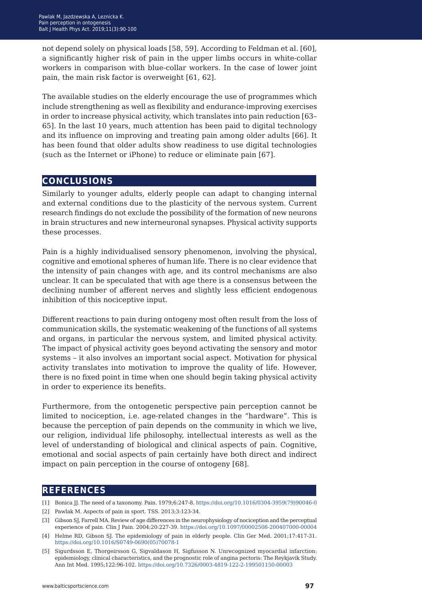not depend solely on physical loads [58, 59]. According to Feldman et al. [60], a significantly higher risk of pain in the upper limbs occurs in white-collar workers in comparison with blue-collar workers. In the case of lower joint pain, the main risk factor is overweight [61, 62].

The available studies on the elderly encourage the use of programmes which include strengthening as well as flexibility and endurance-improving exercises in order to increase physical activity, which translates into pain reduction [63– 65]. In the last 10 years, much attention has been paid to digital technology and its influence on improving and treating pain among older adults [66]. It has been found that older adults show readiness to use digital technologies (such as the Internet or iPhone) to reduce or eliminate pain [67].

### **conclusions**

Similarly to younger adults, elderly people can adapt to changing internal and external conditions due to the plasticity of the nervous system. Current research findings do not exclude the possibility of the formation of new neurons in brain structures and new interneuronal synapses. Physical activity supports these processes.

Pain is a highly individualised sensory phenomenon, involving the physical, cognitive and emotional spheres of human life. There is no clear evidence that the intensity of pain changes with age, and its control mechanisms are also unclear. It can be speculated that with age there is a consensus between the declining number of afferent nerves and slightly less efficient endogenous inhibition of this nociceptive input.

Different reactions to pain during ontogeny most often result from the loss of communication skills, the systematic weakening of the functions of all systems and organs, in particular the nervous system, and limited physical activity. The impact of physical activity goes beyond activating the sensory and motor systems – it also involves an important social aspect. Motivation for physical activity translates into motivation to improve the quality of life. However, there is no fixed point in time when one should begin taking physical activity in order to experience its benefits.

Furthermore, from the ontogenetic perspective pain perception cannot be limited to nociception, i.e. age-related changes in the "hardware". This is because the perception of pain depends on the community in which we live, our religion, individual life philosophy, intellectual interests as well as the level of understanding of biological and clinical aspects of pain. Cognitive, emotional and social aspects of pain certainly have both direct and indirect impact on pain perception in the course of ontogeny [68].

## **references**

- [1] Bonica JJ. The need of a taxonomy. Pain. 1979;6:247-8. [https://doi.org/10.1016/0304-3959\(79\)90046-0](https://doi.org/10.1016/0304-3959(79)90046-0)
- [2] Pawlak M. Aspects of pain in sport. TSS. 2013;3:123-34.
- [3] Gibson SJ, Farrell MA. Review of age differences in the neurophysiology of nociception and the perceptual experience of pain. Clin J Pain. 2004;20:227-39.<https://doi.org/10.1097/00002508-200407000-00004>
- [4] Helme RD, Gibson SJ. The epidemiology of pain in elderly people. Clin Ger Med. 2001;17:417-31. [https://doi.org/10.1016/S0749-0690\(05\)70078-1](https://doi.org/10.1016/S0749-0690(05)70078-1)
- [5] [Sigurdsson E, Thorgeirsson G, Sigvaldason H, Sigfusson N. Unrecognized myocardial infarction:](https://doi.org/10.1016/S0749-0690(05)70078-1)  [epidemiology, clinical characteristics, and the prognostic role of angina pectoris: The Reykjavik Study.](https://doi.org/10.1016/S0749-0690(05)70078-1)  [Ann Int Med. 1995;122:96-102. https://doi.org/10.7326/0003-4819-122-2-199501150-00003](https://doi.org/10.1016/S0749-0690(05)70078-1)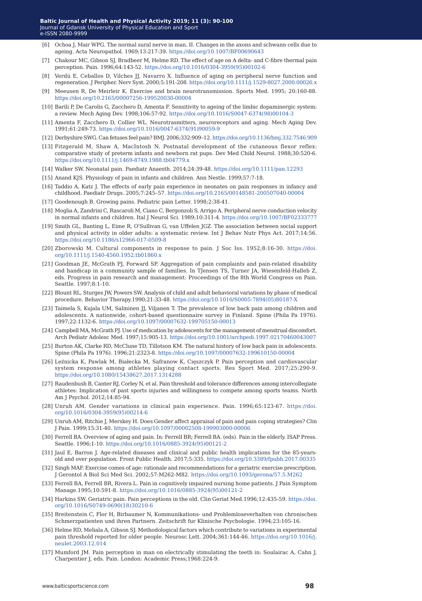- [6] Ochoa J, Mair WPG. The normal sural nerve in man. II. Changes in the axons and schwann cells due to ageing. Acta Neuropathol. 1969;13:217-39.<https://doi.org/10.1007/BF00690643>
- [7] Chakour MC, Gibson SJ, Bradbeer M, Helme RD. The effect of age on A delta- and C-fibre thermal pain perception. Pain. 1996;64:143-52. [https://doi.org/10.1016/0304-3959\(95\)00102-6](https://doi.org/10.1016/0304-3959(95)00102-6)
- [8] Verdú E, Ceballos D, Vilches JJ, Navarro X. Influence of aging on peripheral nerve function and regeneration. J Peripher. Nerv Syst. 2000;5:191-208.<https://doi.org/10.1111/j.1529-8027.2000.00026.x>
- [9] Meeusen R, De Meirleir K. Exercise and brain neurotransmission. Sports Med. 1995; 20:160-88. <https://doi.org/10.2165/00007256-199520030-00004>
- [10] Barili P, De Carolis G, Zacchero D, Amenta F. Sensitivity to ageing of the limbic dopaminergic system: a review. Mech Aging Dev. 1998;106:57-92. [https://doi.org/10.1016/S0047-6374\(98\)00104-3](https://doi.org/10.1016/S0047-6374(98)00104-3)
- [11] Amenta F, Zacchero D, Collier WL. Neurotrasmitters, neuroreceptors and aging. Mech Aging Dev. 1991;61:249-73. [https://doi.org/10.1016/0047-6374\(91\)90059-9](https://doi.org/10.1016/0047-6374(91)90059-9)
- [12] Derbyshire SWG. Can fetuses feel pain? BMJ. 2006;332:909–12.<https://doi.org/10.1136/bmj.332.7546.909>
- [13] Fitzgerald M, Shaw A, MacIntosh N. Postnatal development of the cutaneous flexor reflex: comparative study of preterm infants and newborn rat pups. Dev Med Child Neurol. 1988;30:520-6. <https://doi.org/10.1111/j.1469-8749.1988.tb04779.x>
- [14] Walker SW. Neonatal pain. Paediatr Anaesth. 2014;24:39-48. <https://doi.org/10.1111/pan.12293>
- [15] Anand KJS. Physiology of pain in infants and children. Ann Nestle. 1999;57:7-18.
- [16] Taddio A, Katz J. The effects of early pain experience in neonates on pain responses in infancy and childhood. Paediatr Drugs. 2005;7:245–57.<https://doi.org/10.2165/00148581-200507040-00004>
- [17] Goodenough B. Growing pains. Pediatric pain Letter. 1998;2:38-41.
- [18] Moglia A, Zandrini C, Rascaroli M, Ciano C, Bergonzoli S, Arrigo A. Peripheral nerve conduction velocity in normal infants and children. Ital J Neurol Sci. 1989;10:311-4.<https://doi.org/10.1007/BF02333777>
- [19] Smith GL, Banting L, Eime R, O'Sullivan G, van Uffelen JGZ. The association between social support and physical activity in older adults: a systematic review. Int J Behav Nutr Phys Act. 2017;14:56. <https://doi.org/10.1186/s12966-017-0509-8>
- [20] Zborowski M. Cultural components in response to pain. J Soc Iss. 1952;8:16-30. [https://doi.](https://doi.org/10.1111/j.1540-4560.1952.tb01860.x) [org/10.1111/j.1540-4560.1952.tb01860.x](https://doi.org/10.1111/j.1540-4560.1952.tb01860.x)
- [21] Goodman JE, McGrath PJ, Forward SP. Aggregation of pain complaints and pain-related disability and handicap in a community sample of families. In TJensen TS, Turner JA, Wiesenfeld-Halleb Z, eds. Progress in pain research and management: Proceedings of the 8th World Congress on Pain. Seattle. 1997;8:1-10.
- [22] Blount RL, Sturges JW, Powers SW. Analysis of child and adult behavioral variations by phase of medical procedure. Behavior Therapy.1990;21:33-48. [https://doi.org/10.1016/S0005-7894\(05\)80187-X](https://doi.org/10.1016/S0005-7894(05)80187-X)
- [23] Taimela S, Kujala UM, Salminen JJ, Viljanen T. The prevalence of low back pain among children and adolescents. A nationwide, cohort-based questionnaire survey in Finland. Spine (Phila Pa 1976). 1997;22:1132-6.<https://doi.org/10.1097/00007632-199705150-00013>
- [24] Campbell MA, McGrath PJ. Use of medication by adolescents for the management of menstrual discomfort. Arch Pediatr Adolesc Med. 1997;15:905-13.<https://doi.org/10.1001/archpedi.1997.02170460043007>
- [25] Burton AK, Clarke RD, McClune TD, Tillotson KM. The natural history of low back pain in adolescents. Spine (Phila Pa 1976). 1996;21:2323-8.<https://doi.org/10.1097/00007632-199610150-00004>
- [26] Leźnicka K, Pawlak M, Białecka M, Safranow K, Cięszczyk P. Pain perception and cardiovascular system response among athletes playing contact sports. Res Sport Med. 2017;25:290-9. <https://doi.org/10.1080/15438627.2017.1314288>
- [27] Raudenbush B, Canter RJ, Corley N, et al. Pain threshold and tolerance differences among intercollegiate athletes: Implication of past sports injuries and willingness to compete among sports teams. North Am J Psychol. 2012;14:85-94.
- [28] Unruh AM. Gender variations in clinical pain experience. Pain. 1996;65:123-67. [https://doi.](https://doi.org/10.1016/0304-3959(95)00214-6) [org/10.1016/0304-3959\(95\)00214-6](https://doi.org/10.1016/0304-3959(95)00214-6)
- [29] Unruh AM, Ritchie J, Merskey H. Does Gender affect appraisal of pain and pain coping strategies? Clin J Pain. 1999;15:31-40.<https://doi.org/10.1097/00002508-199903000-00006>
- [30] Ferrell BA. Overview of aging and pain. In: Ferrell BR; Ferrell BA. (eds). Pain in the elderly. ISAP Press. Seattle. 1996;1-10. [https://doi.org/10.1016/0885-3924\(95\)00121-2](https://doi.org/10.1016/0885-3924(95)00121-2)
- [31] Jaul E, Barron J. Age-related diseases and clinical and public health implications for the 85-yearsold and over population. Front Public Health. 2017;5:335. <https://doi.org/10.3389/fpubh.2017.00335>
- [32] Singh MAF. Exercise comes of age: rationale and recommendations for a geriatric exercise prescription. J Gerontol A Biol Sci Med Sci. 2002;57:M262-M82. <https://doi.org/10.1093/gerona/57.5.M262>
- [33] Ferrell BA, Ferrell BR, Rivera L. Pain in cognitively impaired nursing home patients. J Pain Symptom Manage.1995;10:591-8. [https://doi.org/10.1016/0885-3924\(95\)00121-2](https://doi.org/10.1016/0885-3924(95)00121-2)
- [34] Harkins SW. Geriatric pain. Pain perceptions in the old. Clin Geriat Med.1996;12:435-59. [https://doi.](https://doi.org/10.1016/S0749-0690(18)30210-6) [org/10.1016/S0749-0690\(18\)30210-6](https://doi.org/10.1016/S0749-0690(18)30210-6)
- [35] Breitenstein C, Flor H, Birbaumer N, Kommunikations- und Problemloseverhalten von chronischen Schmerzpatienten und ihren Partnern. Zeitschrift fur Klinische Psychologie. 1994;23:105-16.
- [36] Helme RD, Meliala A, Gibson SJ. Methodological factors which contribute to variations in experimental pain threshold reported for older people. Neurosc Lett. 2004;361:144-46. [https://doi.org/10.1016/j.](https://doi.org/10.1016/j.neulet.2003.12.014) [neulet.2003.12.014](https://doi.org/10.1016/j.neulet.2003.12.014)
- [37] Mumford JM. Pain perception in man on electrically stimulating the teeth in: Soulairac A, Cahn J, Charpentier J, eds. Pain. London: Academic Press;1968:224-9.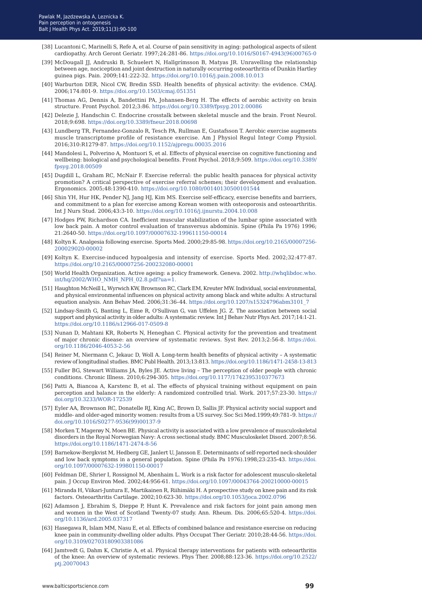- [38] Lucantoni C, Marinelli S, Refe A, et al. Course of pain sensitivity in aging: pathological aspects of silent cardiopathy. Arch Geront Geriatr. 1997;24:281-86. [https://doi.org/10.1016/S0167-4943\(96\)00765-0](https://doi.org/10.1016/S0167-4943(96)00765-0)
- [39] McDougall JJ, Andruski B, Schuelert N, Hallgrímsson B, Matyas JR. Unravelling the relationship between age, nociception and joint destruction in naturally occurring osteoarthritis of Dunkin Hartley guinea pigs. Pain. 2009;141:222-32. <https://doi.org/10.1016/j.pain.2008.10.013>
- [40] Warburton DER, Nicol CW, Bredin SSD. Health benefits of physical activity: the evidence. CMAJ. 2006;174:801-9. <https://doi.org/10.1503/cmaj.051351>
- [41] Thomas AG, Dennis A, Bandettini PA, Johansen-Berg H. The effects of aerobic activity on brain structure. Front Psychol. 2012;3:86.<https://doi.org/10.3389/fpsyg.2012.00086>
- [42] Delezie J, Handschin C. Endocrine crosstalk between skeletal muscle and the brain. Front Neurol. 2018;9:698.<https://doi.org/10.3389/fneur.2018.00698>
- [43] Lundberg TR, Fernandez-Gonzalo R, Tesch PA, Rullman E, Gustafsson T. Aerobic exercise augments muscle transcriptome profile of resistance exercise. Am J Physiol Regul Integr Comp Physiol. 2016;310:R1279-87.<https://doi.org/10.1152/ajpregu.00035.2016>
- [44] Mandolesi L, Polverino A, Montuori S, et al. Effects of physical exercise on cognitive functioning and wellbeing: biological and psychological benefits. Front Psychol. 2018;9:509. [https://doi.org/10.3389/](https://doi.org/10.3389/fpsyg.2018.00509) [fpsyg.2018.00509](https://doi.org/10.3389/fpsyg.2018.00509)
- [45] Dugdill L, Graham RC, McNair F. Exercise referral: the public health panacea for physical activity promotion? A critical perspective of exercise referral schemes; their development and evaluation. Ergonomics. 2005;48:1390‐410.<https://doi.org/10.1080/00140130500101544>
- [46] Shin YH, Hur HK, Pender NJ, Jang HJ, Kim MS. Exercise self‐efficacy, exercise benefits and barriers, and commitment to a plan for exercise among Korean women with osteoporosis and osteoarthritis. Int J Nurs Stud. 2006;43:3-10.<https://doi.org/10.1016/j.ijnurstu.2004.10.008>
- [47] Hodges PW, Richardson CA. Inefficient muscular stabilization of the lumbar spine associated with low back pain. A motor control evaluation of transversus abdominis. Spine (Phila Pa 1976) 1996; 21:2640-50.<https://doi.org/10.1097/00007632-199611150-00014>
- [48] Koltyn K. Analgesia following exercise. Sports Med. 2000;29:85-98. [https://doi.org/10.2165/00007256-](https://doi.org/10.2165/00007256-200029020-00002) [200029020-00002](https://doi.org/10.2165/00007256-200029020-00002)
- [49] Koltyn K. Exercise-induced hypoalgesia and intensity of exercise. Sports Med. 2002;32:477-87. <https://doi.org/10.2165/00007256-200232080-00001>
- [50] World Health Organization. Active ageing: a policy framework. Geneva. 2002. [http://whqlibdoc.who.](http://whqlibdoc.who.int/hq/2002/WHO_NMH_NPH_02.8.pdf?ua=1.
) [int/hq/2002/WHO\\_NMH\\_NPH\\_02.8.pdf?ua=1.](http://whqlibdoc.who.int/hq/2002/WHO_NMH_NPH_02.8.pdf?ua=1.
)
- [51] Haughton McNeill L, Wyrwich KW, Brownson RC, Clark EM, Kreuter MW. Individual, social environmental, and physical environmental influences on physical activity among black and white adults: A structural equation analysis. Ann Behav Med. 2006;31:36–44. [https://doi.org/10.1207/s15324796abm3101\\_7](https://doi.org/10.1207/s15324796abm3101_7)
- [52] Lindsay-Smith G, Banting L, Eime R, O'Sullivan G, van Uffelen JG. Z. The association between social support and physical activity in older adults: A systematic review. Int J Behav Nutr Phys Act. 2017;14:1-21. <https://doi.org/10.1186/s12966-017-0509-8>
- [53] Nunan D, Mahtani KR, Roberts N, Heneghan C. Physical activity for the prevention and treatment of major chronic disease: an overview of systematic reviews. Syst Rev. 2013;2:56-8. [https://doi.](https://doi.org/10.1186/2046-4053-2-56) [org/10.1186/2046-4053-2-56](https://doi.org/10.1186/2046-4053-2-56)
- [54] Reiner M, Niermann C, Jekauc D, Woll A. Long-term health benefits of physical activity A systematic review of longitudinal studies. BMC Publ Health. 2013;13:813. https://doi.org/10.1186/1471-2458-13-813
- [55] Fuller BG, Stewart Williams JA, Byles JE. Active living The perception of older people with chronic conditions. Chronic Illness. 2010;6:294-305. <https://doi.org/10.1177/1742395310377673>
- [56] Patti A, Biancoa A, Karstenc B, et al. The effects of physical training without equipment on pain perception and balance in the elderly: A randomized controlled trial. Work. 2017;57:23-30. [https://](https://doi.org/10.3233/WOR-172539) [doi.org/10.3233/WOR-172539](https://doi.org/10.3233/WOR-172539)
- [57] Eyler AA, Brownson RC, Donatelle RJ, King AC, Brown D, Sallis JF. Physical activity social support and middle- and older-aged minority women: results from a US survey. Soc Sci Med.1999;49:781–9. [https://](https://doi.org/10.1016/S0277-9536(99)00137-9) [doi.org/10.1016/S0277-9536\(99\)00137-9](https://doi.org/10.1016/S0277-9536(99)00137-9)
- [58] Morken T, Magerøy N, Moen BE. Physical activity is associated with a low prevalence of musculoskeletal disorders in the Royal Norwegian Navy: A cross sectional study. BMC Musculoskelet Disord. 2007;8:56. <https://doi.org/10.1186/1471-2474-8-56>
- [59] Barnekow-Bergkvist M, Hedberg GE, Janlert U, Jansson E. Determinants of self-reported neck-shoulder and low back symptoms in a general population. Spine (Phila Pa 1976).1998;23:235-43. [https://doi.](https://doi.org/10.1097/00007632-199801150-00017) [org/10.1097/00007632-199801150-00017](https://doi.org/10.1097/00007632-199801150-00017)
- [60] Feldman DE, Shrier I, Rossignol M, Abenhaim L. Work is a risk factor for adolescent musculo-skeletal pain. J Occup Environ Med. 2002;44:956-61. <https://doi.org/10.1097/00043764-200210000-00015>
- [61] Miranda H, Viikari-Juntura E, Martikainen R, Riihimäki H. A prospective study on knee pain and its risk factors. Osteoarthritis Cartilage. 2002;10:623-30. <https://doi.org/10.1053/joca.2002.0796>
- [62] Adamson J, Ebrahim S, Dieppe P, Hunt K. Prevalence and risk factors for joint pain among men and women in the West of Scotland Twenty-07 study. Ann. Rheum. Dis. 2006;65:520-4. [https://doi.](https://doi.org/10.1136/ard.2005.037317) [org/10.1136/ard.2005.037317](https://doi.org/10.1136/ard.2005.037317)
- [63] Hasegawa R, Islam MM, Nasu E, et al. Effects of combined balance and resistance exercise on reducing knee pain in community-dwelling older adults. Phys Occupat Ther Geriatr. 2010;28:44-56. https://doi. org/10.3109/02703180903381086
- [64] Jamtvedt G, Dahm K, Christie A, et al. Physical therapy interventions for patients with osteoarthritis of the knee: [A](https://doi.org/10.1186/1471-2458-13-813)n overview of systematic reviews. Phys Ther. 2008;88:123-36. https://doi.org/10.2522/ ptj.20070043